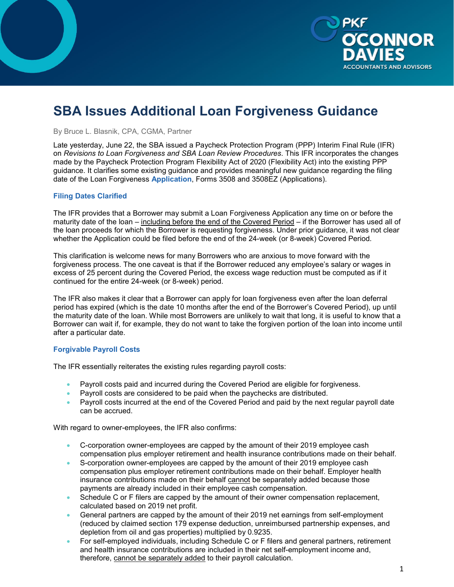

# **SBA Issues Additional Loan Forgiveness Guidance**

By Bruce L. Blasnik, CPA, CGMA, Partner

Late yesterday, June 22, the SBA issued a Paycheck Protection Program (PPP) Interim Final Rule (IFR) on *Revisions to Loan Forgiveness and SBA Loan Review Procedures*. This IFR incorporates the changes made by the Paycheck Protection Program Flexibility Act of 2020 (Flexibility Act) into the existing PPP guidance. It clarifies some existing guidance and provides meaningful new guidance regarding the filing date of the Loan Forgiveness **Application**, Forms 3508 and 3508EZ (Applications).

#### **Filing Dates Clarified**

The IFR provides that a Borrower may submit a Loan Forgiveness Application any time on or before the maturity date of the loan – including before the end of the Covered Period – if the Borrower has used all of the loan proceeds for which the Borrower is requesting forgiveness. Under prior guidance, it was not clear whether the Application could be filed before the end of the 24-week (or 8-week) Covered Period.

This clarification is welcome news for many Borrowers who are anxious to move forward with the forgiveness process. The one caveat is that if the Borrower reduced any employee's salary or wages in excess of 25 percent during the Covered Period, the excess wage reduction must be computed as if it continued for the entire 24-week (or 8-week) period.

The IFR also makes it clear that a Borrower can apply for loan forgiveness even after the loan deferral period has expired (which is the date 10 months after the end of the Borrower's Covered Period), up until the maturity date of the loan. While most Borrowers are unlikely to wait that long, it is useful to know that a Borrower can wait if, for example, they do not want to take the forgiven portion of the loan into income until after a particular date.

### **Forgivable Payroll Costs**

The IFR essentially reiterates the existing rules regarding payroll costs:

- Payroll costs paid and incurred during the Covered Period are eligible for forgiveness.
- Payroll costs are considered to be paid when the paychecks are distributed.
- Payroll costs incurred at the end of the Covered Period and paid by the next regular payroll date can be accrued.

With regard to owner-employees, the IFR also confirms:

- C-corporation owner-employees are capped by the amount of their 2019 employee cash compensation plus employer retirement and health insurance contributions made on their behalf.
- S-corporation owner-employees are capped by the amount of their 2019 employee cash compensation plus employer retirement contributions made on their behalf. Employer health insurance contributions made on their behalf cannot be separately added because those payments are already included in their employee cash compensation.
- Schedule C or F filers are capped by the amount of their owner compensation replacement, calculated based on 2019 net profit.
- General partners are capped by the amount of their 2019 net earnings from self-employment (reduced by claimed section 179 expense deduction, unreimbursed partnership expenses, and depletion from oil and gas properties) multiplied by 0.9235.
- For self-employed individuals, including Schedule C or F filers and general partners, retirement and health insurance contributions are included in their net self-employment income and, therefore, cannot be separately added to their payroll calculation.